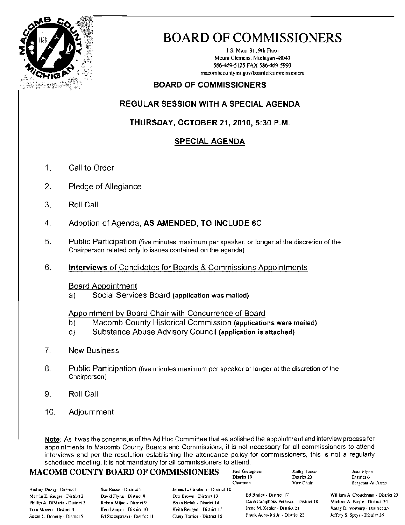

# **BOARD OF COMMISSIONERS**

1 S. Main St., 9th Floor Mount Clemens. Michigan 48043 586-469-5125 FAX 586-469-5993 macombcountymi.gov/boardofcommissioners

### **BOARD OF COMMISSIONERS**

### **REGULAR SESSION WITH A SPECIAL AGENDA**

### THURSDAY, OCTOBER 21, 2010, 5:30 P.M.

### **SPECIAL AGENDA**

- $1<sub>1</sub>$ Call to Order
- $2.$ Pledge of Allegiance
- 3. Roll Call
- $\overline{4}$ . Adoption of Agenda, AS AMENDED, TO INCLUDE 6C
- 5. Public Participation (five minutes maximum per speaker, or longer at the discretion of the Chairperson related only to issues contained on the agenda)
- 6. **Interviews** of Candidates for Boards & Commissions Appointments

### **Board Appointment**

Social Services Board (application was mailed) a)

### Appointment by Board Chair with Concurrence of Board

- Macomb County Historical Commission (applications were mailed) b)
- Substance Abuse Advisory Council (application is attached)  $C)$
- $7<sub>1</sub>$ **New Business**
- 8. Public Participation (five minutes maximum per speaker or longer at the discretion of the Chairperson)
- 9. Roll Call
- $10.$ Adjournment

Note: As it was the consensus of the Ad Hoc Committee that established the appointment and interview process for appointments to Macomb County Boards and Commissions, it is not necessary for all commissioners to attend interviews and per the resolution establishing the attendance policy for commissioners, this is not a regularly scheduled meeting, it is not mandatory for all commissioners to attend.

### **MACOMB COUNTY BOARD OF COMMISSIONERS**

Paul Gieleghem District 19 Chairman

Kathy Tocoo District 20 Vice Chair

Joan Flynn District 6 Sergeant-At-Arms

Andrey Duzyj - District I Marvin E. Sauger - District 2 Phillip A. DiMaria - District 3 Toni Moceri - District 4 Susan L. Doherty - District 5

Sue Rocca - District 7 David Flynn - District 8 Robert Mijac - District 9 Ken Lampar - District 10 Ed Szczepanski - District 11 James L. Carabelli - District 12 Don Brown - District 13 Brian Brdak - District 14 Keith Rengert - District 15 Carey Torrice - District 16

Ed Bruley - District 17 Dana Camphous-Peterson - District 18 Irene M. Kepler - District 21 Frank Accavitti Jr. - District 22

William A. Crouchman - District 23 Michael A. Boyle - District 24 Kathy D. Vosburg - District 25 Jeffery S. Sprys - District 26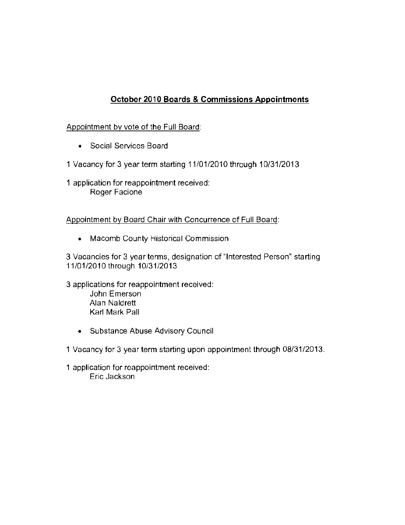### October 2010 Boards & Commissions Appointments

### Appointment by vote of the Full Board:

**• Social Services Board** 

1 Vacancy for 3 year term starting 11/01/2010 through 10/31/2013

**1 application for reappointment received: Roger Faciane** 

**Appointment by Board Chair with Concurrence of Full Board:** 

**• Macomb County Historical Commission** 

**3 Vacancies for 3 year terms, designation of "Interested Person" starting**  11/01/2010 through 10/31/2013

**3 applications for reappointment received: John Emerson**  Alan Naldrett Karl Mark Pall

**• Substance Abuse Advisory Council** 

1 Vacancy for 3 year term starting upon appointment through 08/31/2013.

**1 application for reappointment received: Eric Jackson**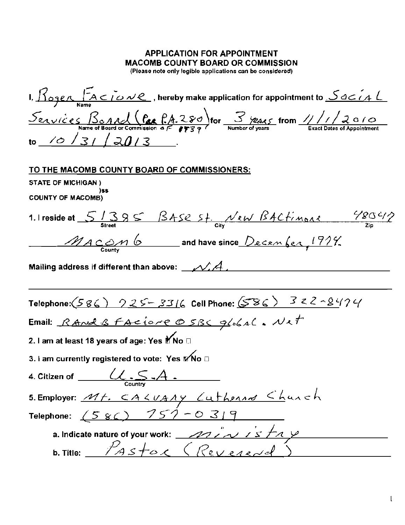### **APPLICATION FOR APPOINTMENT MACOMB COUNTY BOARD OR COMMISSION**

(Please note only legible applications can be considered)

1,  $\frac{\int_{\Omega} \rho_{\text{max}} \int A \subset i \omega \nu \ell}{\text{Name}}$ , hereby make application for appointment to  $\frac{\int_{\Omega} \rho_{\text{max}}}{\text{Name}}$  $\frac{S_{\text{exvice}} S_{\text{0.4}}}{\text{Name of Board or Commission of } F}$  for  $\frac{S_{\text{max}}}{\text{symber of years}}$  from  $\frac{1}{1/2}$   $\frac{2010}{\text{Exact Date of Appointment}}$ to  $(0/3)/20/3$ TO THE MACOMB COUNTY BOARD OF COMMISSIONERS: STATE OF MICHIGAN)  $)$ ss **COUNTY OF MACOMBY** 1.1 reside at  $5/385$  BASE St. New BACtimone 48042 MACOM 6 and have since December, 1924. Mailing address if different than above:  $\mathcal{N} A$  , Telephone:  $(SgC)$   $925 - 331C$  Cell Phone:  $(SgC)$  322-8474 Email: Rand & FACIONE OSBC global. Net 2. I am at least 18 years of age: Yes Mo □ 3. I am currently registered to vote: Yes Mo □ 5. Employer: Mt. CALUANY Luthenne Chunch Telephone:  $(58C)$   $757 - 0319$ a. Indicate nature of your work: <u>2012 AVS FAY</u> b. Title:  $P_{ASE}$  (Reverend)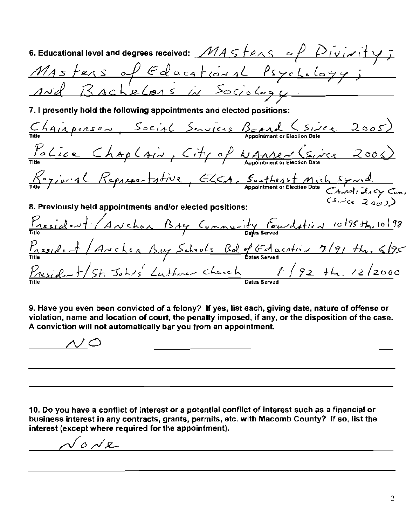| 6. Educational level and degrees received: $\n  MAS$ $fenses$ $ \sim$ $\n  P$ $\overrightarrow{V}$ $\overrightarrow{V}$ $\overrightarrow{V}$ $\overrightarrow{V}$ |
|-------------------------------------------------------------------------------------------------------------------------------------------------------------------|
|                                                                                                                                                                   |
| Mastens of Educational Psychology;                                                                                                                                |
| 7. I presently hold the following appointments and elected positions:                                                                                             |
| Title PLASON, Social Services Bond (Since 2005)                                                                                                                   |
| <u>Police Chaplain, City of WAMP (Since 2006)</u>                                                                                                                 |
| Tille / jury (Representative, ELCA, Southeast Mich Symual<br>Appointment or Election Date Canalislacy Cum.                                                        |
| 8. Previously held appointments and/or elected positions:                                                                                                         |
| President (Anchor BAY Community Foundation 10/95 th, 10/98                                                                                                        |
| $P_{\text{resid},+}$ / Archia Buy Schools Bd of Education 7/91 the 6/95                                                                                           |
| $\frac{p_{residext}+p_{str}+p_{str}+p_{str}}{F}$ Johns Luthman Church $p_{st}$ (92 the 22/2000                                                                    |

9. Have you even been convicted of a felony? If yes, list each, giving date, nature of offense or violation, name and location of court, the penalty imposed, if any, or the disposition of the case. A conviction will not automatically bar you from an appointment.

<u> 1989 - Johann Harry Harry Harry Harry Harry Harry Harry Harry Harry Harry Harry Harry Harry Harry Harry Harry</u>  $\sqrt{2}$ 

10. Do you have a conflict of interest or a potential conflict of interest such as a financial or business interest in any contracts, grants, permits, etc. with Macomb County? If so, list the interest (except where required for the appointment).

 $0\not\sim e$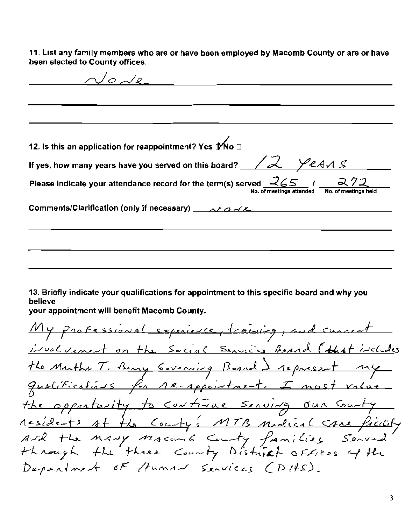11. List any family members who are or have been employed by Macomb County or are or have been elected to County offices.

 $\sqrt{\rho}$   $\sqrt{\rho}$ 12. Is this an application for reappointment? Yes tMo □ If yes, how many years have you served on this board?  $\angle\angle\angle\angle\angle\angle\angle$ Please indicate your attendance record for the term(s) served  $\sqrt{265}$ Comments/Clarification (only if necessary)  $\sim$   $\sim$   $\sim$   $\sim$   $\sim$ 13. Briefly indicate your qualifications for appointment to this specific board and why you believe your appointment will benefit Macomb County. My professional experience, training, and current involvement on the Social Sensions Beand (that includes the Muths T. Bany Covening Board ) represent my qualifications for re-appointment. I nost value the opportunity to continue serving our County residents at the County's MTB modical same facility Ard the Many Macente Centy families Served<br>through the three County District offices of the<br>Department of Human Services (DHS).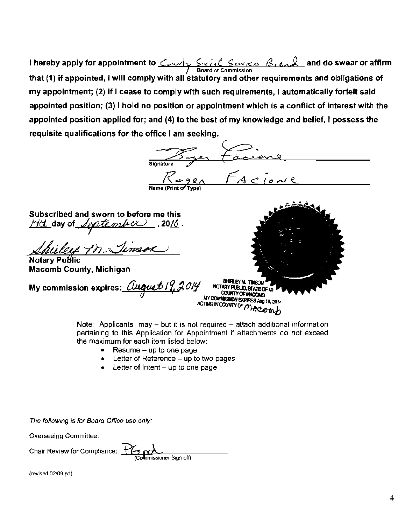**I hereby apply for appointment to** *County Sucial Similas Beand* and do swear or affirm **board or Commission** that (1) if appointed, I will comply with all statutory and other requirements and obligations of my appointment; (2) if I cease to comply with such requirements, I automatically forfeit said appointed position; (3) I hold no position or appointment which is a conflict of interest with the appointed position applied for; and  $(4)$  to the best of my knowledge and belief, I possess the requisite qualifications for the office I am seeking.

| <b>Signature</b><br>Name (Print of Type)                                                                                                 | FACIONE                                                                                                                                      |
|------------------------------------------------------------------------------------------------------------------------------------------|----------------------------------------------------------------------------------------------------------------------------------------------|
| Subscribed and sworn to before me this<br>14th day of September , 2016.<br>Shilly M. Timera<br>Notary Public                             |                                                                                                                                              |
| <b>Macomb County, Michigan</b>                                                                                                           |                                                                                                                                              |
| My commission expires: $\angle \angle \angle \angle \angle \angle \angle \angle \angle \angle \angle \angle \angle \angle \angle \angle$ | SHIRLEY M. TINSON<br>NOTARY PUBLIC, STATE OF !<br><b>COUNTY OF MACOMB</b><br>MY COMMISSION EXPIRES Aug 19, 2014<br>ACTING IN COUNTY OF MACOM |

Note: Applicants may  $-$  but it is not required  $-$  attach additional information pertaining to this Applicalion for Appointment if attachments do not exceed the maximum for each item listed below:

- $\bullet$  Resume  $-\mu$ p to one page
- $\bullet$  Letter of Reference  $-$  up to two pages
- $\bullet$  Letter of Intent  $-$  up to one page

The following is for Board Office use only:

Overseeing Committee: \_

Chair Review for Compliance: You J (Commissioner Sign-off)

(revised 02109 pd)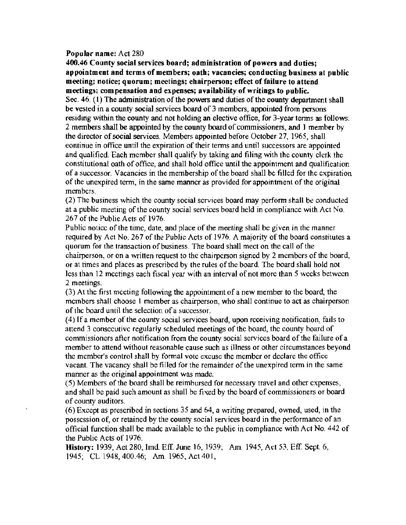#### Popular name: Act 280

400.46 County social services board; administration of powers and duties; appointment and terms of members; oath; vacancies; conducting business at public meeting; notice; quorum; meetings; chairperson; effect of failure to attend meetings; compensation and expenses; availability of writings to public. Sec.  $46$ . (1) The administration of the powers and duties of the county department shall be vested in a county social serviees board of 3 members, appointed from persons residing within the county and not holding an elective office, for 3-year terms as follows: 2 members shall be appointed by the county board of commissioners, *and* I member by the director ofsocial services. Members appointed before October 27, 1965, shall eontinue in office until the expiration of their tenns and until successors are appointed and qualified. Each member shall qualify by taking and filing with the county clerk the constitutional oath of office, and shall hold office until the appointment and qualification of a successor. Vacancies in the membership of the board shall be filled for the expiration of the unexpired tenn, in the same manner as provided for appointment ofthe original members.

(2) The business which the county social services board may perfonn shall be conducted at a public meeting of the county social services board held in compliance with Act No. 267 of the Public Acts of 1976.

Public notice of the timc, date, and place of the meeting shall be given in the manner required by Act No. 267 of the Public Acts of 1976. A majority of the board constitutes a quorum for the transaction of business. The board shall meet on the call of the chairperson, or on a written request to the chairperson signed by 2 members of the board, or at times and places as prescribed by the rules ofthe board. The board shall hold not less than 12 meetings each fiscal year with an interval of not more than 5 weeks between 2 meetings.

(3) At the first meeting following the appointment of a new member to the board, the members shall choose 1 member as chairperson, who shall continue to act as chairperson of the board until the selection of a successor.

(4) If a member of the county social services board, upon receiving notification, fails to attend 3 consecutive regularly scheduled meetings of the board, the county board of commissioners after notification from the county social services board of the failure of a member to attend without reasonable cause such as illness or other circumstances beyond the member's control shall by formal vote excuse the member or declare the office vacant. The vacancy shall be filled for the remainder of the unexpired term in the same manner as the original appointment was made.

(5) Members of the board shall be reimbursed for necessary travel and other expenses, and shall be paid such amount as shall be fixed by the board of commissioners or board of county auditors.

 $(6)$  Except as prescribed in sections 35 and 64, a writing prepared, owned, used, in the possession of, or retained by the county social services board in the performance of an official function shall be made available to the public in compliance with Act No. 442 of the Public Acts of 1976.

History: 1939, Aet *280,* Imd. EfT. June 16, 1939; Am. 1945, Act 53, EfT. Sept. 6, 1945; CL *1948,400.46;* Am. 1965, Act401,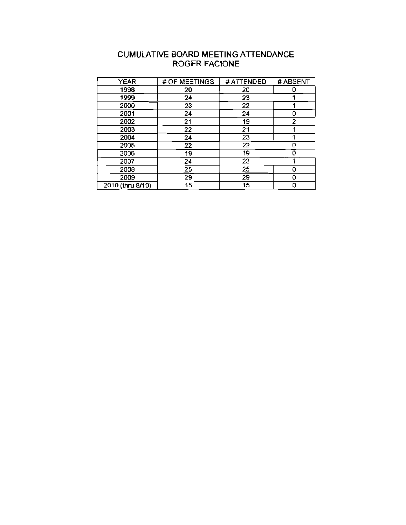### CUMULATIVE BOARD MEETING ATIENDANCE ROGER FACIONE

| <b>YEAR</b>      | # OF MEETINGS | # ATTENDED      | # ABSENT     |
|------------------|---------------|-----------------|--------------|
| 1998             | 20            | 20              | 0            |
| 1999             | 24            | 23              |              |
| 2000             | 23            | 22              |              |
| 2001             | 24            | 24              | 0            |
| 2002             | 21            | 19              | $\mathbf{2}$ |
| 2003             | 22            | $\overline{21}$ |              |
| 2004             | 24            | $2\overline{3}$ |              |
| 2005             | 22            | 22              | o            |
| 2006             | 19            | 19              | ถ            |
| 2007             | 24            | 23              |              |
| 2008             | 25            | 25              | Ω            |
| 2009             | 29            | 29              | 0            |
| 2010 (thru 8/10) | 15            | 15              | 0            |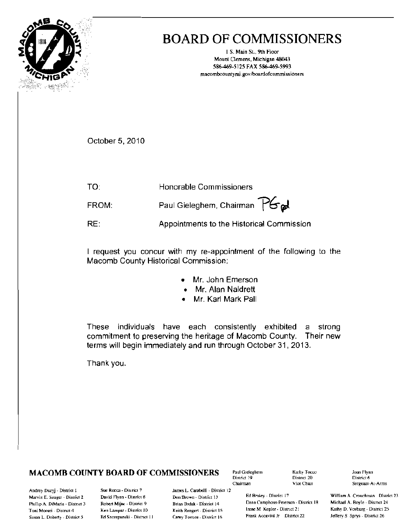|                       |                         |                                   | ٠            |
|-----------------------|-------------------------|-----------------------------------|--------------|
|                       | 1818                    |                                   | ì<br>×       |
|                       |                         |                                   | -<br>٠       |
|                       |                         |                                   |              |
|                       |                         |                                   | Ş<br>w<br>×, |
| ۹<br>ć<br>ž<br>٠<br>٠ | ŝ<br>'n,<br>١<br>í<br>٠ | ٢<br>¢<br>š<br>¥<br>s e<br>ś<br>ì |              |

# **BOARD OF COMMISSIONERS**

1 S. Main St., 9th Floor Mount Clemens, Michigan 48043 586-469-5125 FAX 586-469-5993 macombcountymi.gov/boardofcommissioners

October 5, 2010

TO: Honorable Commissioners Paul Gieleghem, Chairman PGad FROM:

RE: Appointments to the Historical Commission

I request you concur with my re-appointment of the following to the Macomb County Historical Commission:

- Mr. John Emerson
- Mr. Alan Naldrett
- Mr. Karl Mark Pall

These individuals have each consistently exhibited strong a commitment to preserving the heritage of Macomb County. Their new terms will begin immediately and run through October 31, 2013.

Thank you.

### **MACOMB COUNTY BOARD OF COMMISSIONERS**

Paul Gieleghem District 19 Chairman

Kathy Tocco District 20 Vice Chart

Joan Flynn District 6 Sergeant-At-Arms

Andrey Duzyj - District I Marvin E. Sauger - District 2 Phillip A. DiMaria - District 3 Toni Moceri - Distnet 4 Susan L. Doherty - District 5

Sue Rocca - District 7 David Flynn - District 8 Robert Mijac - District 9 Ken Lampar - District 10 Ed Szczepanski - District 11

James L. Carabelli - District 12 Don Brown - District 13 Brian Brdak - District 14 Keith Rengert - District 15 Carey Tornee - District 16

Ed Bruley - District 17 Dana Camphous-Peterson - District 18 Irene M. Kepler - District 21 Frank Accavitti Jr District 22

William A Crouchman District 23 Michael A. Boyle - District 24 Kathy D. Vosburg - District 25 Jeffery S. Sprys - District 26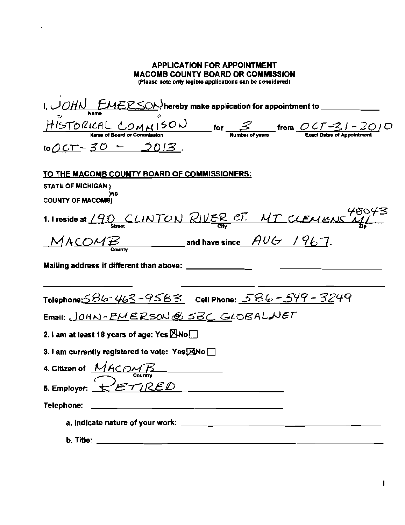| $to$ OCT - 30 - 2013.<br><u>TO THE MACOMB COUNTY BOARD OF COMMISSIONERS:</u><br><b>STATE OF MICHIGAN)</b><br>199<br><b>COUNTY OF MACOMB)</b><br>1. I reside at 190 CLINTON RIVER CT. MT CLEMENS $\frac{48043}{2}$<br>$MACOMB$ and have since $AUG$ / 967.<br>Mailing address if different than above: $\frac{1}{2}$ ______________________________<br>Telephone: 586-463-9583 Cell Phone: 586-549-3249<br>Email: JOHN-EMERSON@SBC GLOBALNET<br>2. I am at least 18 years of age: Yes $M\sim$<br>3. I am currently registered to vote: Yes $\boxtimes$ No $\Box$<br>4. Citizen of $MACOMB$<br>5. Employer: $RETIRED$<br>Telephone: | <b>APPLICATION FOR APPOINTMENT</b><br><b>MACOMB COUNTY BOARD OR COMMISSION</b><br>(Please note only legible applications can be considered) |
|-----------------------------------------------------------------------------------------------------------------------------------------------------------------------------------------------------------------------------------------------------------------------------------------------------------------------------------------------------------------------------------------------------------------------------------------------------------------------------------------------------------------------------------------------------------------------------------------------------------------------------------|---------------------------------------------------------------------------------------------------------------------------------------------|
|                                                                                                                                                                                                                                                                                                                                                                                                                                                                                                                                                                                                                                   |                                                                                                                                             |
|                                                                                                                                                                                                                                                                                                                                                                                                                                                                                                                                                                                                                                   |                                                                                                                                             |
|                                                                                                                                                                                                                                                                                                                                                                                                                                                                                                                                                                                                                                   |                                                                                                                                             |
|                                                                                                                                                                                                                                                                                                                                                                                                                                                                                                                                                                                                                                   |                                                                                                                                             |
|                                                                                                                                                                                                                                                                                                                                                                                                                                                                                                                                                                                                                                   |                                                                                                                                             |
|                                                                                                                                                                                                                                                                                                                                                                                                                                                                                                                                                                                                                                   |                                                                                                                                             |
|                                                                                                                                                                                                                                                                                                                                                                                                                                                                                                                                                                                                                                   |                                                                                                                                             |
|                                                                                                                                                                                                                                                                                                                                                                                                                                                                                                                                                                                                                                   |                                                                                                                                             |
|                                                                                                                                                                                                                                                                                                                                                                                                                                                                                                                                                                                                                                   | h Titlo <sup>,</sup>                                                                                                                        |

 $\sim 10^{11}$  km  $^{-1}$ 

 $\mathbf{I}$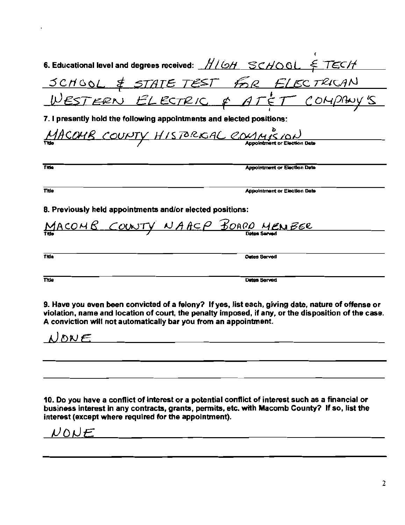|                                                                  | 6. Educational level and degrees received: $\frac{HLOH}{SCMOOL}$ $\leq$ TECH                                                                                                                             |
|------------------------------------------------------------------|----------------------------------------------------------------------------------------------------------------------------------------------------------------------------------------------------------|
|                                                                  |                                                                                                                                                                                                          |
|                                                                  | <u>SCHOOL &amp; STATE TEST FOR ELECTRICAN</u><br>WESTERN ELECTRIC & ATET COMPINYS                                                                                                                        |
|                                                                  | 7. I presently hold the following appointments and elected positions:                                                                                                                                    |
|                                                                  | MACOMB COUNTY HISTORICAL COMMISSION                                                                                                                                                                      |
|                                                                  |                                                                                                                                                                                                          |
| <b>Title</b>                                                     | <b>Appointment or Election Date</b>                                                                                                                                                                      |
| <b>Title</b>                                                     | <b>Appointment or Election Date</b>                                                                                                                                                                      |
| 8. Previously held appointments and/or elected positions:        |                                                                                                                                                                                                          |
|                                                                  | <u>MACOMB COUNTY NAACP BOARD MENBER</u>                                                                                                                                                                  |
|                                                                  |                                                                                                                                                                                                          |
| Tide                                                             | <b>Outes Served</b>                                                                                                                                                                                      |
| Title                                                            | Dates Served                                                                                                                                                                                             |
| A conviction will not automatically bar you from an appointment. | 9. Have you even been convicted of a felony? If yes, list each, giving date, nature of offense or<br>violation, name and location of court, the penalty imposed, if any, or the disposition of the case. |
| NONE                                                             |                                                                                                                                                                                                          |
|                                                                  |                                                                                                                                                                                                          |

l,

10. Do you have a conflict of interest or a potential conflict of interest such as a financial or business interest in any contracts, grants, permits, etc. with Macomb County? If so, list the interest (except where require

 $NONE$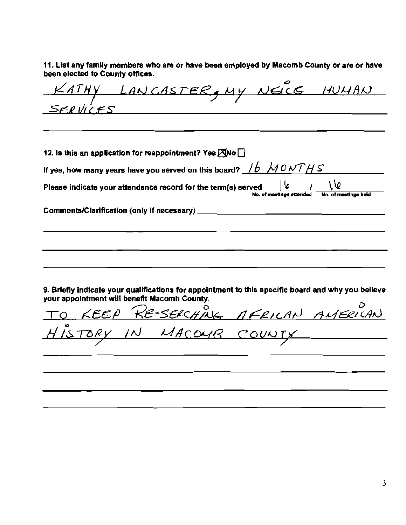11. List any family members who are or have been employed by Macomb County or are or have been elected to County offices.

<u>I-IUMAN</u> <u>SERVICES</u> 12. Is this an application for reappointment? Yes  $\boxtimes$ No  $\Box$ If yes, how many years have you served on this board?  $/6$   $\,\mathcal{M}$  *0 NTH S*  $\,$ Please indicate your attendance record for the term(s) served  $No. of$  meetings attended Comments/Clarification (only if necessary) \_ 9. Briefly indicate your qualifications for appointment to this specific board and why you believe your appointment will benefit Macomb County.<br>TOKEEP RE-SERCHING  $\overline{\phantom{a}}$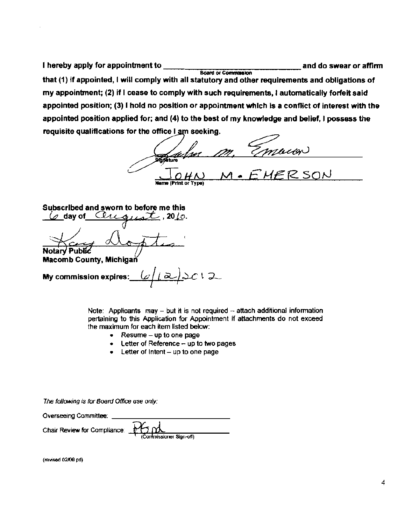I hereby apply for appointment to **official and do swear or affirm** Board or Commission that (1) if appointed, I will comply with all statutory and other requirements and obligations of my appointment; (2) if I cease to comply with such requirements, I automatically forfeit said appointed position; (3) I hold no position or appointment which is a conflict of interest with the appointed position applied for; and (4) to the best of my knowledge and belief, I possess the requisite qualifications for the office I am seeking.

/VI • *E* J-{Ef?- SQN

Subscribed and sworn to before me this

 $\varphi$  day of Chicappart, 2010. Notary Public

**Macomb County, Michigan** 

<u>محا</u>عد ا My commission expires:

Note: Applicants may  $-$  but it is not required  $-$  attach additional information pertaining to this Application for Appointment if attachments do not exceed the maximum for each item listed below:

- Resume up to one page
- $\bullet$  Letter of Reference  $-$  up to two pages
- $\text{Letter of }$  Intent  $-$  up to one page

The following is for Board Office use only:

Overseeing Committee: Chair Re\liew for Compliance: *....A===::- \_* ~onerSign-off)

(mYised 02.Qll pd)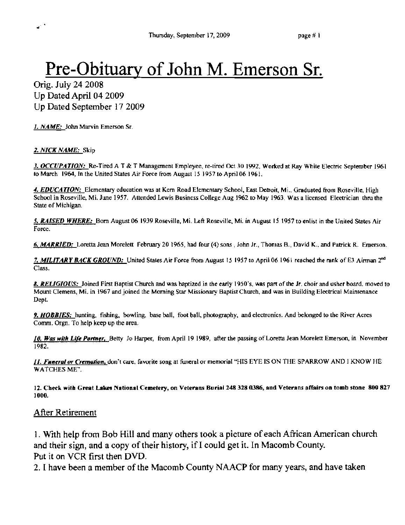# Pre-Obituary of John M. Emerson Sr.

Orig. July 24 2008 Up Dated April 04 2009 Up Dated September 172009

*I. NAME:* John Marvin Emerson Sr.

#### *2. NICK NAME:* Skip

**J. OCCUPATION:** Re-Tired A T & T Management Employee, re-tired Oct 30 1992. Worked at Ray While Electric September 1961 to March 1964, In the United States Air Force from August 15 1957 to April 06 1961.

*4. EDUCATION:* Elementary education was at Kern Road Elementary School, East Detroit, Mi., Graduated from Roseville, High School in Roseville, Mi. June 1957. Attended Lewis Business College Aug 1962 10 May 1963. Was a licensed Eleetrician thru the State of Michigan.

5. RAISED WHERE: Born August 06 1939 Roseville, Mi. Left Roseville, Mi. in August 15 1957 to enlist in the United States Air Force.

*6. MARRlED:* Loretta Jean Morelett February 20 1965, had four (4) sons, John Jr., Thomas B., David K.. and Patrick R. Emerson.

7. MILITARY BACK GROUND; United Stales Air Force from August 15 1957 to April 06 1961 reached the rank of E3 Airman 2<sup>nd</sup> Class.

*8. RELIGIOUS:* Joined First Baptist Church and was baptized in the early 1950's, was part of the Jr. choir and usher board. moved to Mount Clemens, Mi. in 1967 and joined the Morning Star Missionary Baptist Church, and was in Building Electrical Maintenance Dept.

*9. HOBBIES:* hunting, fishing, bowling, base ball, fool ball, photography, and electronics. And belonged to the River Acres Comm. Orgn. To help keep up the area.

10. Was with Life Partner, Betty Jo Harper, from April 19 1989, after the passing of Loretta Jean Morelett Emerson, in November 1982.

*II. Funeral or Cremation, don't care, favorite song at funeral or memorial "HIS EYE IS ON THE SPARROW AND I KNOW HE* WATCHES ME".

12. Check with Great Lakes National Cemetery, on Veterans Burial 248 328 0386, and Veterans affairs on tomb stone 800 827 lOOO.

### After Retirement

I. With help from Bob Hill and many others took a picture of each African American church and their sign, and a copy of their history, if I could get it. In Macomb County. Put it on VCR first then DVD.

2. I have been a member of the Macomb County NAACP for many years, and have taken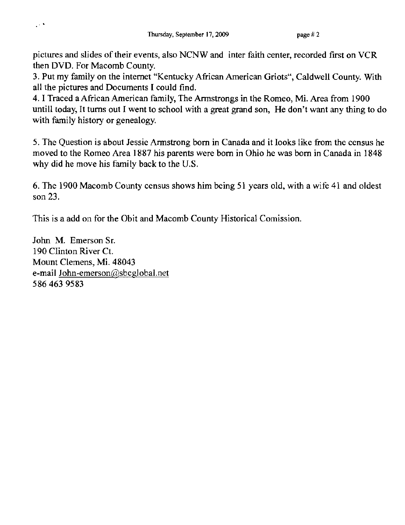pictures and slides of their events, also NCNW and inter faith center, recorded first on VCR then DVD. For Macomb County.

3. Put my family on the internet "Kentucky African American Griots", Caldwell County. With all the pictures and Documents I could find.

4. I Traced a African American family, The Armstrongs in the Romeo, Mi. Area from 1900 untill today, It turns out I went to school with a great grand son, He don't want any thing to do with family history or genealogy.

5. The Question is about Jessie Armstrong born in Canada and it looks like from the census he moved to the Romeo Area 1887 his parents were born in Ohio he was born in Canada in 1848 why did he move his family back to the U.S.

6. The 1900 Macomb County census shows him being 51 years old, with a wife 41 and oldest son 23.

This is a add on for the Obit and Macomb County Historical Comission.

John M. Emerson Sr. 190 Clinton River Ct. Mount Clemens, Mi. 48043 e-mail 10hn-emerson@sbcglobal.net 5864639583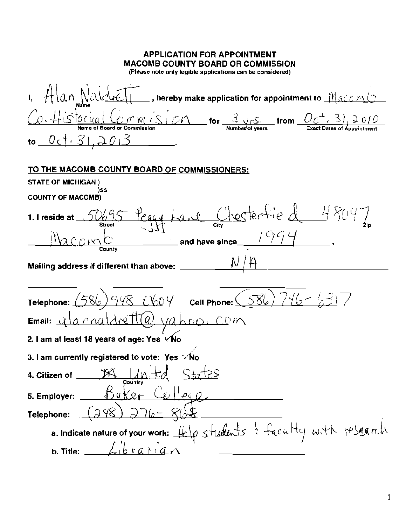| <b>APPLICATION FOR APPOINTMENT</b><br><b>MACOMB COUNTY BOARD OR COMMISSION</b><br>(Please note only legible applications can be considered)                        |
|--------------------------------------------------------------------------------------------------------------------------------------------------------------------|
| $\_$ , hereby make application for appointment to $\_$ $\mathcal{M}_{\mathcal{ACD}}$ $\mathcal{M}_{\mathcal{A}}$                                                   |
| $OMM$ $\sqrt{S}$ $\sqrt{CN}$ for $\frac{3}{N$ or $\frac{S}{N}$ from $\frac{OC_1}{S}$ , $\frac{3}{N}$ $\frac{2}{N}$ of $\frac{O}{N}$<br>Name of Board or Commission |
| to $0c + 312013$                                                                                                                                                   |
| TO THE MACOMB COUNTY BOARD OF COMMISSIONERS:                                                                                                                       |
| <b>STATE OF MICHIGAN)</b>                                                                                                                                          |
| )SS<br><b>COUNTY OF MACOMB)</b>                                                                                                                                    |
| Peggy Lave Chestertie d 4800<br>5069.<br>1. I reside at<br>Street                                                                                                  |
| and have since_<br>County                                                                                                                                          |
| Mailing address if different than above:                                                                                                                           |
| 1948-C604 Cell Phone: (586) 746-63<br>Telephone:                                                                                                                   |
| <u>rett(a) vahoc</u><br>COM<br>Email: $\bigcup$                                                                                                                    |
| 2. I am at least 18 years of age: Yes ⊻∕No                                                                                                                         |
| 3. I am currently registered to vote: Yes ∴∕No                                                                                                                     |
| 4. Citizen of $M$<br>Country                                                                                                                                       |
| Baker Collego<br>5. Employer:                                                                                                                                      |
| (၁.५८)<br>$1.776-86$<br>Telephone:                                                                                                                                 |
| a. Indicate nature of your work: Help students : faculty with research                                                                                             |
| <b>b.</b> Title: $\angle\phi$ ration                                                                                                                               |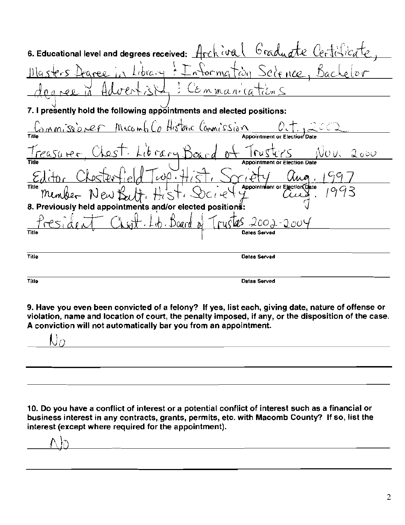| 6. Educational level and degrees received: Archival Graduate Certificate                         |
|--------------------------------------------------------------------------------------------------|
| Masters Degree in Library: Information Science, Bachelor                                         |
| fouree in Advertisty: Commanications                                                             |
| 7. I presently hold the following appointments and elected positions:                            |
| Commissioner Macomb Co Historic Commission Det. 2002                                             |
|                                                                                                  |
| Treasurer, Chest. Library Board of Trusters Nov. 2000                                            |
|                                                                                                  |
|                                                                                                  |
| Editor Chosterfield Twp. Hist, Soriety aug.<br>Member New Bertt, Hist, Society Cruz.<br>$'$ 1993 |
| 8. Previously held appointments and/or elected positions:                                        |
| <u>Chest Lob Board of Truster 2002-2004</u>                                                      |
| Title                                                                                            |
|                                                                                                  |
| Title<br><b>Datas Served</b>                                                                     |
| <b>Tille</b><br><b>Dstas Served</b>                                                              |

9. Have you even been convicted of a felony? If yes, list each, giving date, nature of offense or violation, name and location of court, the penalty imposed, if any, or the disposition of the case. A conviction will not automatically bar you from an appointment.

 $\overline{\mathsf{U}_\mathcal{O}}$ j <u> 1989 - Johann Barn, mars ann an t-Amhain Aonaich an t-Aonaich an t-Aonaich ann an t-Aonaich ann an t-Aonaich</u>

10. Do you have a conflict of interest or a potential conflict of interest such as a financial or business interest in any contracts, grants, permits, etc. with Macomb County? If so, list the interest (except where required for the appointment).

<u> 1989 - Johann Stoff, deutscher Stoffen und der Stoffen und der Stoffen und der Stoffen und der Stoffen und de</u>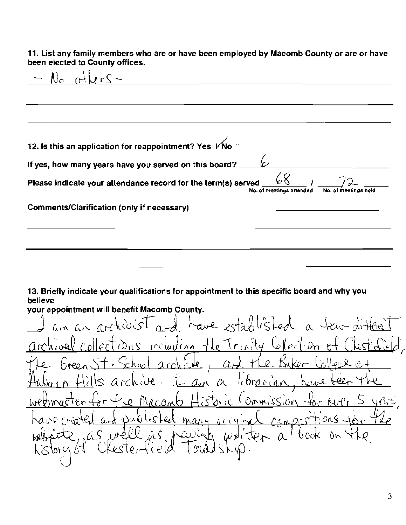11. List any family members who are or have been employed by Macomb County or are or have been elected to County offices.

No oAb-l--"-"*S",--'* \_ 12. Is this an application for reappointment? Yes  $\cancel{\mathbf{r}}$ No  $\degree$ **If yes, how many years have you served on this board?**  $\Box$  $\overline{a}$ Please indicate your attendance record for the term(s) served  $\frac{\varphi\zeta}{N_o}$ ,  $\frac{1}{N_o}$  at meetings held No. of **meetings anended** No. **of ':;eelings held**  Comments/Clarification (only if necessary) \_

13. Briefly indicate your qualifications for appointment to this specific board and why you believe

your appointment will benefit Macomb County. I am an archivist and have established a tew different arte and space of the Color of Clo archival collections including the Trinity Collection of Chestricial, ks remains the indig operium is create <u>librarian</u> bel  $\alpha$ bric Commission acomb many occurred lis ked ti ans  $a_{rd}$  $w$  iten a  $\int_{0}a\xi$  $\hat{M}$ aviah Tre toru ot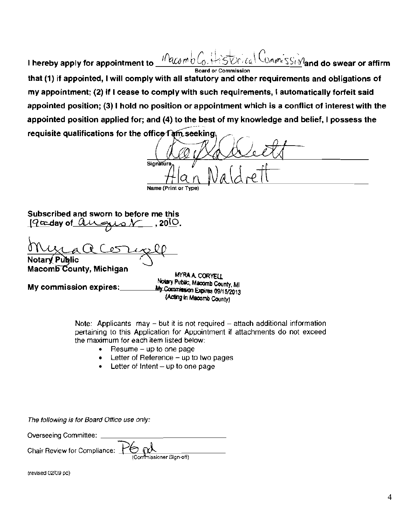$10$ acombl <u>-୦៳៸៱៶៝ៜ៸ $\sqrt{2}$ and do swear or affirm</u> I hereby apply for appointment to Board or Commission that (1) if appointed. I will comply with all statutory and other requirements and obligations of my appointment; (2) if I cease to comply with such requirements, I automatically forfeit said appointed position; (3) I hold no position or appointment which is a conflict of interest with the appointed position applied for; and (4) to the best of my knowledge and belief, I possess the requisite qualifications for the office  $T$  am seeking

Signature Alan Naldrett Name (Print

**Subscribed and sworn to before me this**   $79x$ day of  $0.445x$ ,  $0.2010$ .

**Nota**  ~Q~ **Pu lie** <sup>I</sup>

Macomb County, Michigan MYRA A CORYELL<br>All Motary Public, Macomb County, MI My commission expires: https://www.waxamb.county.Ml<br>My Commission Expires 09/15/2013 (Acting In Macomb County)

> Note: Applicants may  $-$  but it is not required  $-$  attach additional information pertaining to this Application for Appointment if attachments do not exceed the maximum for each item listed below:

- $\bullet$  Resume  $-\mu$  to one page
- Letter of Reference  $-$  up to two pages
- **Letter of Intent**  $-$  up to one page

The following is for Board Office use only:

Overseeing Committee: Chair Review for Compliance:  $\bigoplus_{(Commissioner Sign-off)}$ 

(revised 02/09 pd)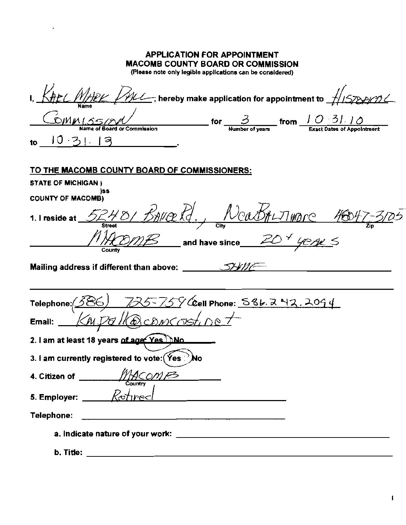| <b>APPLICATION FOR APPOINTMENT</b><br><b>MACOMB COUNTY BOARD OR COMMISSION</b><br>(Please note only legible applications can be considered) |
|---------------------------------------------------------------------------------------------------------------------------------------------|
| $\overline{\mathscr{HL}}$ , hereby make application for appointment to $\overline{\mathcal{L}}$                                             |
| $\frac{3}{2}$ for $\frac{3}{2}$ from $\frac{10.31.10}{2}$ from $\frac{10.31.10}{2}$ from Exact Dates of Appointment<br>10.3<br>Э<br>to      |
| TO THE MACOMB COUNTY BOARD OF COMMISSIONERS:<br><b>STATE OF MICHIGAN )</b>                                                                  |
| )SS<br><b>COUNTY OF MACOMB)</b>                                                                                                             |
| 52401 BAVERT, NeaBALTIMORE 46047-3<br>1. I reside at<br>$\mathcal{B}$ and have since 20 $^+$ 40 AK $\leq$<br>County                         |
|                                                                                                                                             |
| $725 - 759$ Gell Phone: 586.242.2094<br>Telephone: 45<br>allaconcostine<br>Email:                                                           |
| 2. I am at least 18 years of age: Yes DNo                                                                                                   |
| 3. I am currently registered to vote: (Yes ?) No                                                                                            |
| 4. Citizen of __<br>Country                                                                                                                 |
| 5. Employer: $K\circ\text{three}$                                                                                                           |
| Telephone:<br><u> 1980 - Johann Barn, mars an t-Amerikaansk politiker (* 1908)</u>                                                          |
|                                                                                                                                             |
| b. Title:                                                                                                                                   |

 $\sim 10^{-10}$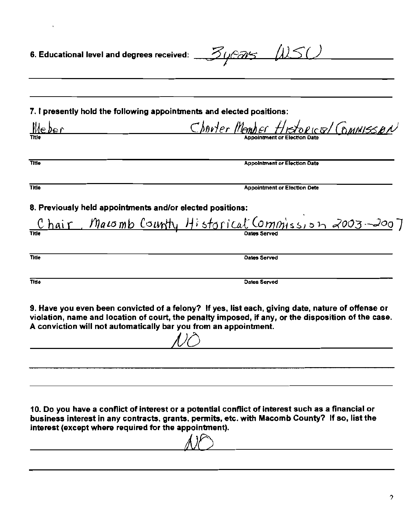| 6. Educational level and degrees received: $Z\mu z \mu s$ (1) $50$                                                                                                                                                                                          |                                    |              |                                                                                                                                                                                                          |
|-------------------------------------------------------------------------------------------------------------------------------------------------------------------------------------------------------------------------------------------------------------|------------------------------------|--------------|----------------------------------------------------------------------------------------------------------------------------------------------------------------------------------------------------------|
| 7. I presently hold the following appointments and elected positions:                                                                                                                                                                                       |                                    |              |                                                                                                                                                                                                          |
| <u>Meber</u>                                                                                                                                                                                                                                                |                                    |              | Charter Member Historical Commisson                                                                                                                                                                      |
| Title                                                                                                                                                                                                                                                       |                                    |              | <b>Appointment or Election Date</b>                                                                                                                                                                      |
| <b>Title</b>                                                                                                                                                                                                                                                |                                    |              | <b>Appointment or Election Dete</b>                                                                                                                                                                      |
| 8. Previously held appointments and/or elected positions:                                                                                                                                                                                                   |                                    |              |                                                                                                                                                                                                          |
|                                                                                                                                                                                                                                                             |                                    |              | Chair, Macomb County Historical Commission 2003-2007                                                                                                                                                     |
| Title                                                                                                                                                                                                                                                       |                                    | Dates Served |                                                                                                                                                                                                          |
| Title                                                                                                                                                                                                                                                       |                                    | Dates Served |                                                                                                                                                                                                          |
| A conviction will not automatically bar you from an appointment.                                                                                                                                                                                            | $\sim$ $\sim$ $\sim$ $\sim$ $\sim$ |              | 9. Have you even been convicted of a felony? If yes, list each, giving date, nature of offense or<br>violation, name and location of court, the penalty imposed, if any, or the disposition of the case. |
|                                                                                                                                                                                                                                                             |                                    |              |                                                                                                                                                                                                          |
| 10. Do you have a conflict of interest or a potential conflict of interest such as a financial or<br>business interest in any contracts, grants, permits, etc. with Macomb County? If so, list the<br>interest (except where required for the appointment). | $\Lambda$                          |              |                                                                                                                                                                                                          |

 $\mathcal{L}^{\text{max}}_{\text{max}}$  and  $\mathcal{L}^{\text{max}}_{\text{max}}$ 

jJf)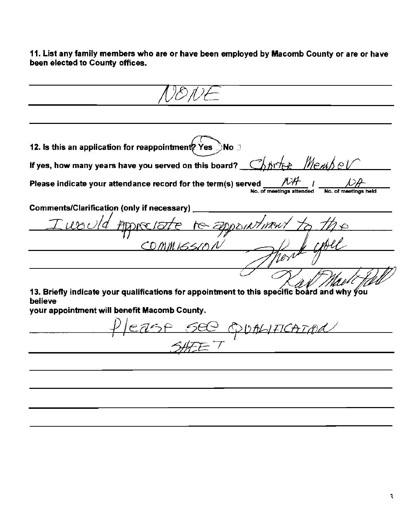11. List any family members who are or have been employed by Macomb County or are or have been elected to County offices.

12. Is this an application for reappointment? Yes  $\gtrsim$ No  $\gtrsim$ If yes, how many years have you served on this board?  $R_{\text{th}}$ Please indicate your attendance record for the term(s) served No. of meetings attended Comments/Clarification (only if necessary) )NY *1*ਨ  $CDA$ 13. Briefly indicate your qualifications for appointment to this specific board and why you believe your appointment will benefit Macomb County. <u>ease see obthification</u>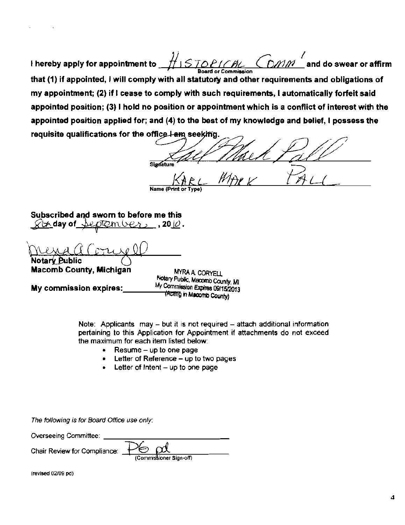I hereby apply for appointment to and do swear or affirm Board or Commission that (1) if appointed, I will comply with all statutory and other requirements and obligations of my appointment; (2) if I cease to comply with such requirements, I automatically forfeit said appointed position; (3) I hold no position or appointment which is a conflict of interest with the appointed position applied for; and (4) to the best of my knowledge and belief, I possess the requisite qualifications for the office lam seekifig

Signatur

Subscribed and sworn to before me this  $\_$  , 20  $\varnothing$  .  $\times$   $\forall\star$  day of

**Macomb County, Michigan** 

My commission expires:

MYRA A CORYELL Notary Public, Macomb County, MI My Commission Expires 09/15/2013 (Acting in Macomb County)

Note: Applicants  $\max - but$  it is not required  $-$  attach additional information pertaining to this Application for Appointment if attachments do not exceed the maximum for each item listed below:

- Resume up to one page  $\bullet$
- Letter of Reference up to two pages
- Letter of Intent up to one page

The following is for Board Office use only:

Overseeing Committee:

Chair Review for Compliance:

Commissioner Sign-off)

(revised 02/09 pd)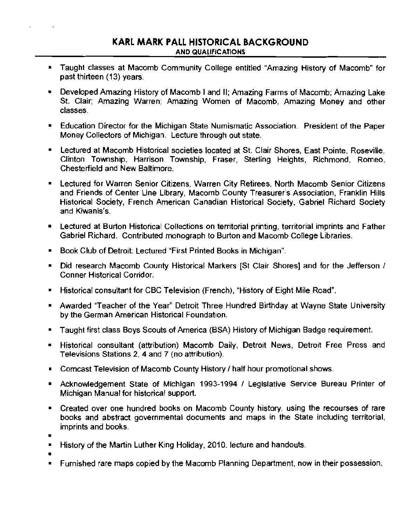- **Taught classes at Macomb Community College entitled "Amazing History of Macomb" for** past thirteen (13) years.
- Developed Amazing History of Macomb I and II; Amazing Farms of Macomb; Amazing Lake St. Clair; Amazing Warren; Amazing Women of Macomb, Amazing Money and other **classes.**
- Education Director for the Michigan State Numismatic Association. President of the Paper Money Collectors of Michigan. Lecture through out state.
- **E.** Lectured at Macomb Historical societies located at St. Clair Shores, East Pointe, Roseville, Clinton Township, Harrison Township, Fraser, Sterling Heights, Richmond, Romeo, Chesterfield and New Baltimore.
- **Lectured for Warren Senior Citizens, Warren City Retirees, North Macomb Senior Citizens** and Friends of Center Line Library, Macomb County Treasurer's Association, Franklin Hills Historical Society, French American Canadian Historical Society, Gabriel Richard Society **and Kiwanis's.**
- **Lectured at Burton Historical Collections on territorial printing, territorial imprints and Father** Gabriel Richard. Contributed monograph to Burton and Macomb COllege Libraries.
- **Book Club of Detroit: Lectured "First Printed Books in Michigan".**
- Did research Macomb County Historical Markers [St Clair Shores] and for the Jefferson / **Conner Historical Corridor.**
- Historical consultant for CBC Television (French), "History of Eight Mile Road".
- Awarded "Teacher of the Year" Detroit Three Hundred Birthday at Wayne State University **by the German American Historical Foundation.**
- **Taught first class Boys Scouts of America (BSA) History of Michigan Badge requirement.**
- **Historical consultant (attribution) Macomb Daily, Detroit News, Detroit Free Press and Televisions Stations 2, 4 and 7 (no attribution).**
- Comcast Television of Macomb County History / half hour promotional shows.
- Acknowledgement State of Michigan 1993-1994 / Legislative Service Bureau Printer of Michigan Manual for historical support.
- **Created over one hundred books on Macomb County history. using the recourses of rare books and abstract governmental documents and maps in the State including territorial, imprints and books.**
- o

o

- **History of the Martin Luther King Holiday, 2010. lecture and handouts.**
- **• Furnished rare maps copied by the Macomb Planning Department, now in their possession.**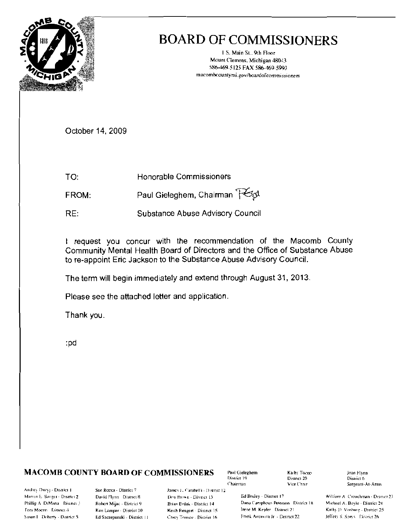

# **BOARD OF COMMISSIONERS**

1 S. Main St., 9th Floor Mount Clemens. Michigan 48043 586-469-5125 FAX 586-469-5993 macombcountymi.gov/boardofcommissioners

October 14, 2009

Honorable Commissioners TO:

Paul Gieleghem, Chairman PGA FROM:

RE: Substance Abuse Advisory Council

I request you concur with the recommendation of the Macomb County Community Mental Health Board of Directors and the Office of Substance Abuse to re-appoint Eric Jackson to the Substance Abuse Advisory Council.

The term will begin immediately and extend through August 31, 2013.

Please see the attached letter and application.

Thank you.

:pd

## **MACOMB COUNTY BOARD OF COMMISSIONERS**

Andrey Duzyj - District 1 Marvin E. Sanger - Disirici 2 Phillip A. DiMana District 3 Tom Mocen Disnet 4 Susan J. Doherty - District 5.

Sue Rocca - District 7 David Flynn District 8 Rohen Mijac - District 9 Ken Lampar - District 10 Ed Szczepanski - District 11

James L. Carabelli - District 12 Don Brown - District 13 Brian Brdak - District 14 Keith Rengert - District 15 Carey Torrice - District 16

Paul Gieleghem District 19 Chairman

Kaihy Torco Disinct 20 Vice Chair.

Ed Bruley - District 17 Dana Camphous-Peterson District 18 Irene M. Kepler District 21 Frank Accasing Jr. - District 22

Joan Flynn District 6 Sergeant-At-Arms

William A. Crouchman - District 23 Michael A. Boyle - District 24 Kathy D. Vosbing - District 25 Jellery S. Sprys District 26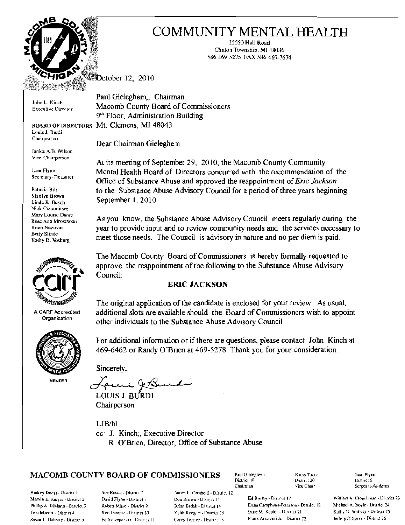

Louis J. Burdi Chairperson

Janice A.S- Wilson Vice-Chairperson

Secretary-Treasurer

Nick Ciaramilaro



A CARF Acc;rediled **Organization** 



**MEMBER** 

# COMMUNITY MENTAL HEALTH

22550 Hall Road Clinton Township, MI 48036 586-469-5275 FAX 586-469-7674

**October 12, 2010** 

Paul Gieleghem., Chairman John L. Kinch **Macomb County Board of Commissioners** Executive Director 9<sup>th</sup> Floor, Administration Building BOARD OF DIRECTORS Mt. Clemens, MI 48043

Dear Chairman Gieleghem

At its meeting of September 29, 2010, the Macomb County Community Joan FI)nn Mental Health Board of Directors concurred with the recommendation of the Office of Substance Abuse and approved the reappointment of*Eric Jackson*  Palricia Bill to the Substance Abuse Advisory Council for a period of three years beginning Marilyn Brown<br>
Linda K. Busch September 1, 2010. September 1, 2010.

Mary Louise Dancr **As you know, the Substance Abuse Advisory Council meets regularly during the** Rose Aon Mrosewske Brian Negovan year to provide input and to review community needs and the services necessary to Betty Slinde Betty Slinde meet those needs. The Council is advisory in nature and no per diem is paid.

> The Macomb County Board of Commissioners is hereby formally requested to approve the reappointment of the following to the Substance Abuse Advisory Council:

### ERIC JACKSON

The original application of the candidate is enclosed for your review. As usual, additional slots are available should the Board of Commissioners wish to appoint other individuals to the Substance Abuse Advisory Council.

For additional information or if there are questions. please contact John Kinch at 469-6462 or Randy O'Brien at 469-5278. Thank you for your consideration. For additional information or i<br>469-6462 or Randy O'Brien at<br>Sincerely,<br>Formation of Roman

Sincerely,

LOUIS J. BURDI

Chairperson

LIB/bl cc: J. Kinch;. Executive Director R. O'Brien, Director, Office of Substance Abuse

## $MACOMB$  COUNTY BOARD OF COMMISSIONERS Paul Gieleghern  $K$ adhy Tocco Joan Flynn

Andrey Duzyj - District 1 Sue Rocca - District 7 Iames L. Carabelli - District 12

District 20

Marvin E. Sauger - Disurict 2 David Flynn - District 8 Don Brown - District 13 Ed Bruley - District 17 William A. Crouchman - District 23<br>Prillio A. District 24 Donn Milion - District Person Brown - District 14 Dana Campho Phillip A. DiMana - District 3 Robert Mijse - District 9 Brian Brdak - District 14 Dana Camphous-Peterson - District 18 Michael A. Boyle - District 24 Dana Camphous-Peterson - District 18 Michael A. Boyle - District 25 E-1 Foni Moceri - District 4 Ken Lampar - District 10 Keith Rengert - District 15 Erank Accavitti Jr. - District 21 Kathy D. Vosburg - District 26<br>Susan L. Doheny - District 5 Ed Seczenanski - District 11 Carey Torrice - Distr Susan L. Doheny - District 5 . Ed Szczepanski - District II Carey Tomee - District 16 . Frank Accavitti Jr. - District 22

Chairman vice Chair \$ . Sereeant-At-Arms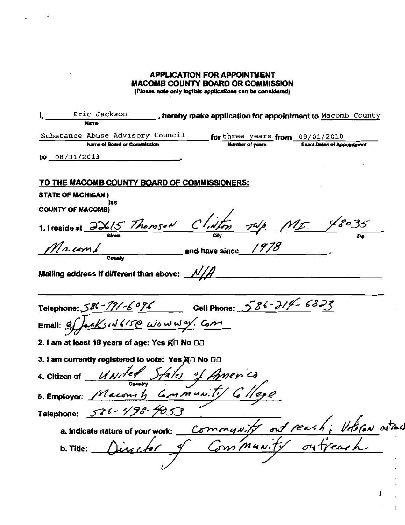# **APPLICATION FOR APPOINTMENT MACOMB COUNTY BOARD OR COMMISSION**

 $\ddot{\phantom{0}}$ 

(Please note only legible applications can be considered)

| Eric Jackson _______, hereby make application for appointment to Macomb County<br>Name                                        |                        |                                                                             |
|-------------------------------------------------------------------------------------------------------------------------------|------------------------|-----------------------------------------------------------------------------|
| Substance Abuse Advisory Council _____ for three years from 09/01/2010                                                        |                        |                                                                             |
| Name of Board or Commission                                                                                                   | <b>Number of years</b> | <b>Exact Dates of Appointment</b>                                           |
| ${10}$ 08/31/2013                                                                                                             |                        |                                                                             |
| TO THE MACOMB COUNTY BOARD OF COMMISSIONERS:                                                                                  |                        |                                                                             |
| <b>STATE OF MICHIGAN)</b>                                                                                                     |                        |                                                                             |
| his<br><b>COUNTY OF MACOMB)</b>                                                                                               |                        |                                                                             |
| 1. I reside at $\frac{\partial \phi}{\partial 5}$ Thomson Clinton $\frac{\pi \psi}{\sqrt{2}}$ MI. $\frac{\pi \psi}{\sqrt{2}}$ |                        |                                                                             |
| Macomb and have since 1978                                                                                                    |                        |                                                                             |
| Mailing address if different than above: $\mathcal{N}/\mathcal{H}$                                                            |                        |                                                                             |
| Telephone: 586-791-6096 Cell Phone: 586-214-6823<br>Email: effectsid 615@ wowway. Com                                         |                        |                                                                             |
|                                                                                                                               |                        |                                                                             |
| 2. I am at least 18 years of age: Yes g□ No □□                                                                                |                        |                                                                             |
| 3. I am currently registered to vote: Yes XI No DE                                                                            |                        |                                                                             |
| 4. Citizen of <u>UNITed States</u> of America<br>5. Employer: Maconsh Community Glege                                         |                        |                                                                             |
|                                                                                                                               |                        |                                                                             |
| Telephone: 586-498-4053                                                                                                       |                        |                                                                             |
|                                                                                                                               |                        |                                                                             |
|                                                                                                                               |                        | a. Indicate nature of your work: <u>Community</u> out reach; Volsian outrad |
|                                                                                                                               |                        |                                                                             |

 $\mathbf{I}$ 

Ť,  $\mathcal{L}$ 

 $\frac{1}{2}$  $\ddot{\mathrm{t}}$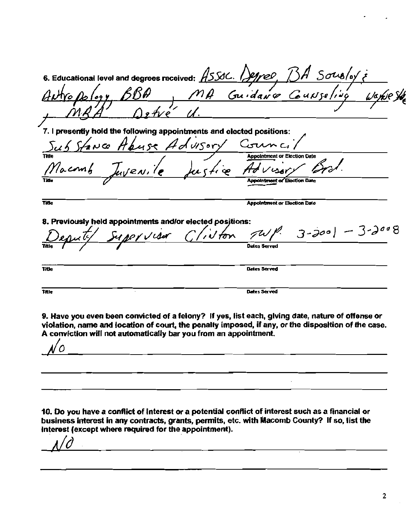6. Educational level and degrees received: ASSOC. Degree, BA So 7. I presently hold the following appointments and elected positions: Advisory ল ১২ **Appointment or Election Date Appointment of Election Date**  $\overline{T}$ die **Appointment or Election Date** 8. Previously held appointments and/or elected positions: I per Visur THIA Dates Served **Title** Dates Served 9. Have you even been convicted of a felony? If yes, list each, giving date, nature of offense or violation, name and location of court, the penalty imposed, if any, or the disposition of the case. A conviction will not automatically bar you from an appointment.  $\overline{O}$ 

10. Do you have a conflict of interest or a potential conflict of interest such as a financial or business interest in any contracts, grants, permits, etc. with Macomb County? If so, list the interest (except where required for the appointment).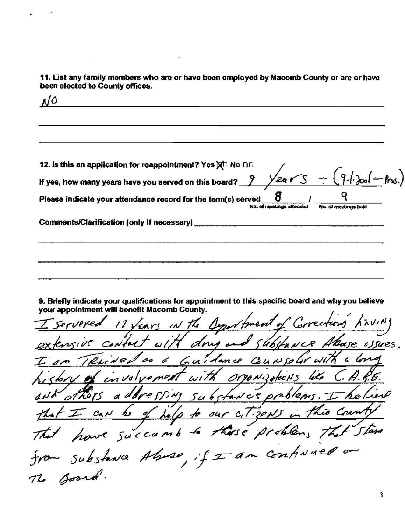11. List any family members who are or have been employed by Macomb County or are or have been elected to County offices.

 $N^{\circ}$ 

12. Is this an application for reappointment? Yes XI No DG  $9.1201$ If yes, how many years have you served on this board?  $2$ Year ð Please indicate your attendance record for the term(s) served No. of meetings attended No. of meetings hald Comments/Clarification (only if necessary) [2012] [2012] [2012] [2012] [2012] [2012] [2012] [2012] [2012] [2012] [2012] [2012] [2012] [2012] [2012] [2012] [2012] [2012] [2012] [2012] [2012] [2012] [2012] [2012] [2012] [201

9. Briefly indicate your qualifications for appointment to this specific board and why you believe your appointment will benefit Macomb County.

17 Years in the Dyportment of Con substance Abase ussues. fact with drug and  $\omega$ ith Guidance Counter  $\mathcal{A}$ with Organization e met t a dov SSIMI Substance problems. ₽ 'he i  $\frac{1}{\sqrt{2}}$ our citizents is Coun h i to these problems that stem have succumb - substance Aluse, if I am continued to Board.